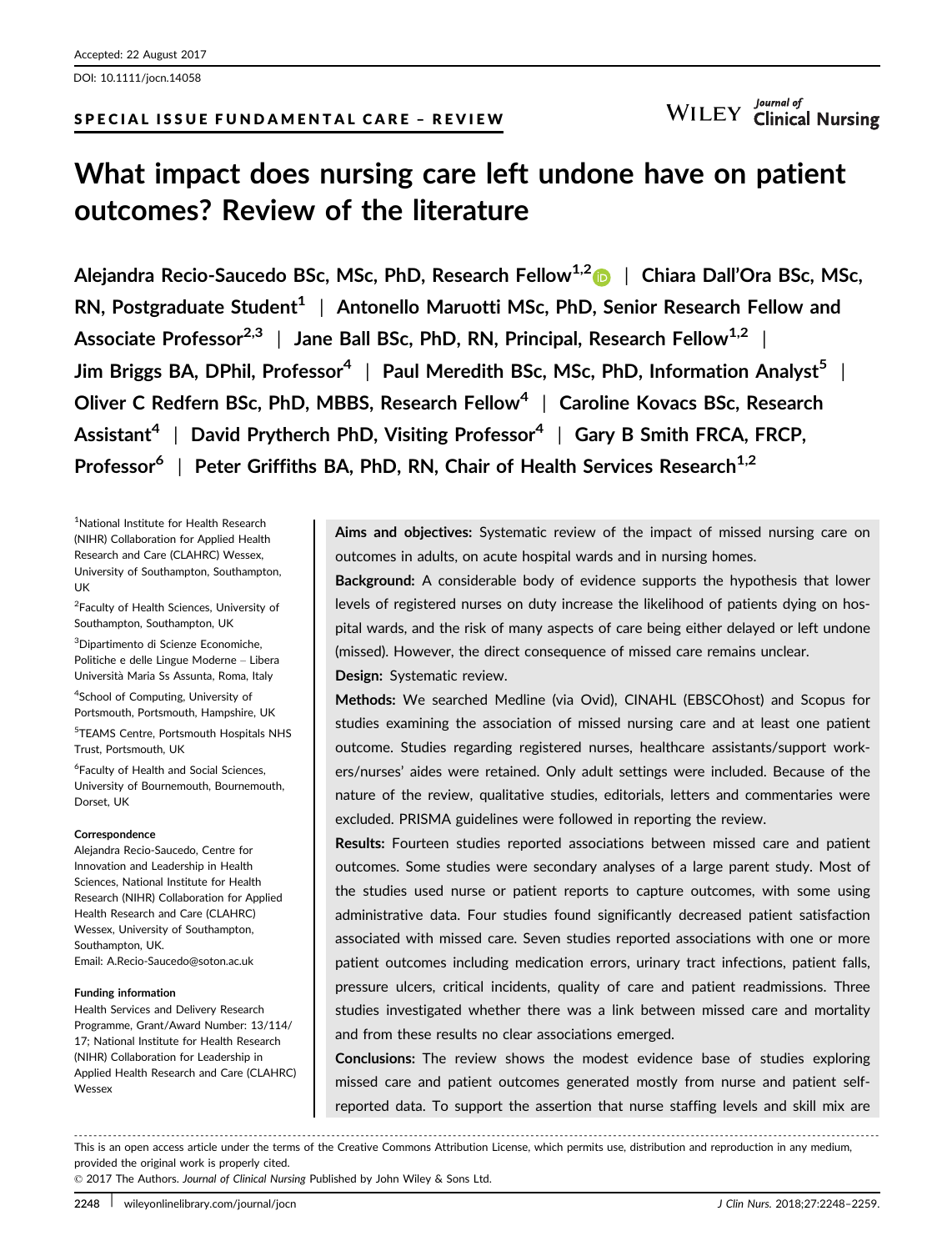DOI: 10.1111/jocn.14058

# SPECIAL ISSUE FUNDAMENTAL CARE – REVIEW

# What impact does nursing care left undone have on patient outcomes? Review of the literature

Alejandra Recio-Saucedo BSc, MSc, PhD, Research Fellow<sup>1,[2](http://orcid.org/0000-0003-2823-4573)</sup> | Chiara Dall'Ora BSc, MSc, RN, Postgraduate Student<sup>1</sup> | Antonello Maruotti MSc, PhD, Senior Research Fellow and Associate Professor<sup>2,3</sup> | Jane Ball BSc, PhD, RN, Principal, Research Fellow<sup>1,2</sup> | Jim Briggs BA, DPhil, Professor<sup>4</sup> | Paul Meredith BSc, MSc, PhD, Information Analyst<sup>5</sup> | Oliver C Redfern BSc, PhD, MBBS, Research Fellow<sup>4</sup> | Caroline Kovacs BSc, Research Assistant<sup>4</sup> | David Prytherch PhD, Visiting Professor<sup>4</sup> | Gary B Smith FRCA, FRCP, Professor<sup>6</sup> | Peter Griffiths BA, PhD, RN, Chair of Health Services Research<sup>1,2</sup>

1 National Institute for Health Research (NIHR) Collaboration for Applied Health Research and Care (CLAHRC) Wessex, University of Southampton, Southampton, UK

<sup>2</sup> Faculty of Health Sciences, University of Southampton, Southampton, UK

<sup>3</sup>Dipartimento di Scienze Economiche, Politiche e delle Lingue Moderne – Libera Universita Maria Ss Assunta, Roma, Italy

<sup>4</sup>School of Computing, University of Portsmouth, Portsmouth, Hampshire, UK

5 TEAMS Centre, Portsmouth Hospitals NHS Trust, Portsmouth, UK

6 Faculty of Health and Social Sciences, University of Bournemouth, Bournemouth, Dorset, UK

#### Correspondence

Alejandra Recio-Saucedo, Centre for Innovation and Leadership in Health Sciences, National Institute for Health Research (NIHR) Collaboration for Applied Health Research and Care (CLAHRC) Wessex, University of Southampton, Southampton, UK. Email: A.Recio-Saucedo@soton.ac.uk

#### Funding information

Health Services and Delivery Research Programme, Grant/Award Number: 13/114/ 17; National Institute for Health Research (NIHR) Collaboration for Leadership in Applied Health Research and Care (CLAHRC) Wessex

Aims and objectives: Systematic review of the impact of missed nursing care on outcomes in adults, on acute hospital wards and in nursing homes.

Background: A considerable body of evidence supports the hypothesis that lower levels of registered nurses on duty increase the likelihood of patients dying on hospital wards, and the risk of many aspects of care being either delayed or left undone (missed). However, the direct consequence of missed care remains unclear.

## Design: Systematic review.

Methods: We searched Medline (via Ovid), CINAHL (EBSCOhost) and Scopus for studies examining the association of missed nursing care and at least one patient outcome. Studies regarding registered nurses, healthcare assistants/support workers/nurses' aides were retained. Only adult settings were included. Because of the nature of the review, qualitative studies, editorials, letters and commentaries were excluded. PRISMA guidelines were followed in reporting the review.

Results: Fourteen studies reported associations between missed care and patient outcomes. Some studies were secondary analyses of a large parent study. Most of the studies used nurse or patient reports to capture outcomes, with some using administrative data. Four studies found significantly decreased patient satisfaction associated with missed care. Seven studies reported associations with one or more patient outcomes including medication errors, urinary tract infections, patient falls, pressure ulcers, critical incidents, quality of care and patient readmissions. Three studies investigated whether there was a link between missed care and mortality and from these results no clear associations emerged.

Conclusions: The review shows the modest evidence base of studies exploring missed care and patient outcomes generated mostly from nurse and patient selfreported data. To support the assertion that nurse staffing levels and skill mix are

------------------------------------------------------------------------------------------------------------------------------- ---------------------------------------

This is an open access article under the terms of the [Creative Commons Attribution](http://creativecommons.org/licenses/by/4.0/) License, which permits use, distribution and reproduction in any medium, provided the original work is properly cited.

© 2017 The Authors. Journal of Clinical Nursing Published by John Wiley & Sons Ltd.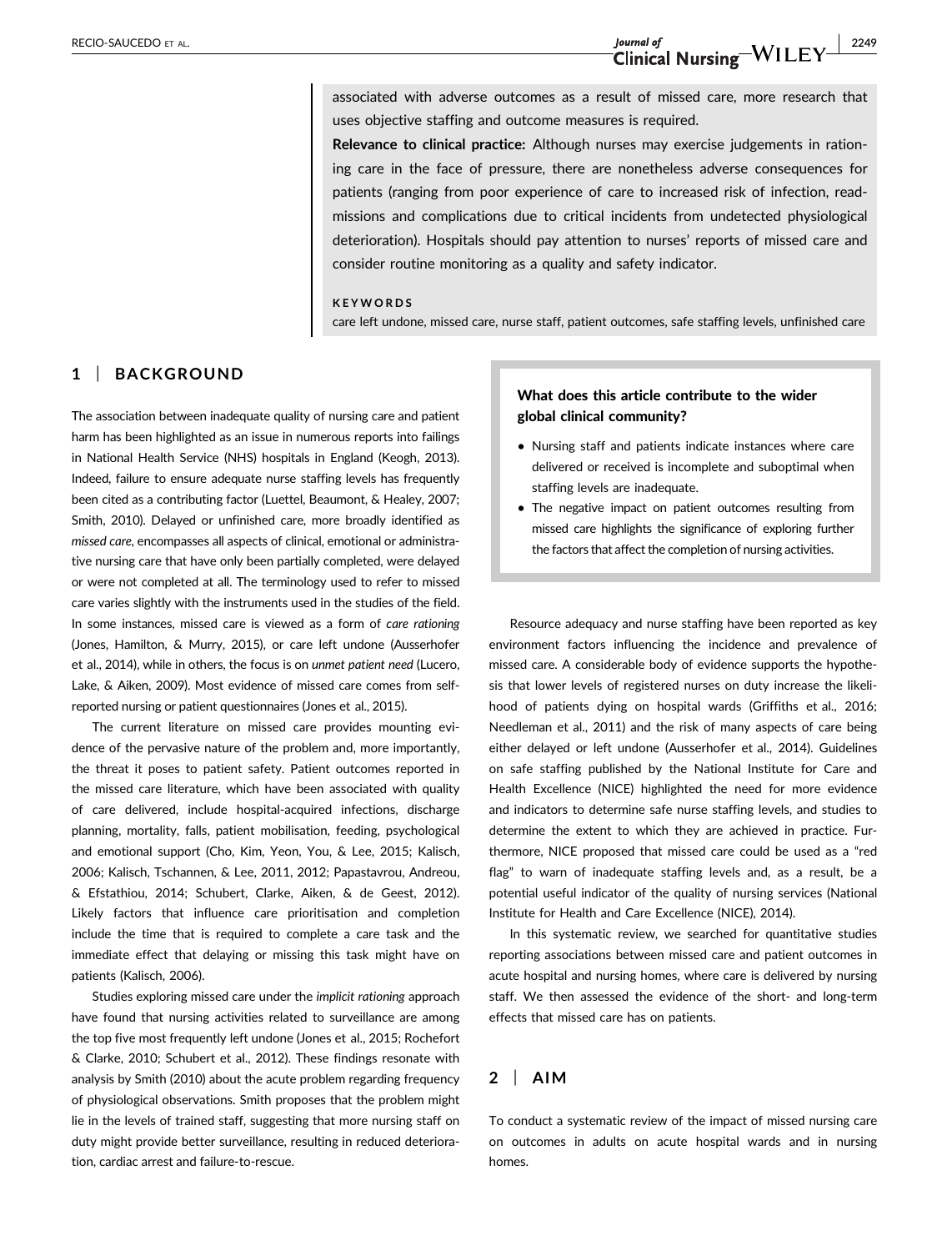# RECIO-SAUCEDO ET AL.  $J_{\text{Journal of}}$ <br>Clinical Nursing  $-WILEY$   $\frac{1}{2249}$

associated with adverse outcomes as a result of missed care, more research that uses objective staffing and outcome measures is required.

Relevance to clinical practice: Although nurses may exercise judgements in rationing care in the face of pressure, there are nonetheless adverse consequences for patients (ranging from poor experience of care to increased risk of infection, readmissions and complications due to critical incidents from undetected physiological deterioration). Hospitals should pay attention to nurses' reports of missed care and consider routine monitoring as a quality and safety indicator.

#### **KEYWORDS**

care left undone, missed care, nurse staff, patient outcomes, safe staffing levels, unfinished care

## 1 | BACKGROUND

The association between inadequate quality of nursing care and patient harm has been highlighted as an issue in numerous reports into failings in National Health Service (NHS) hospitals in England (Keogh, 2013). Indeed, failure to ensure adequate nurse staffing levels has frequently been cited as a contributing factor (Luettel, Beaumont, & Healey, 2007; Smith, 2010). Delayed or unfinished care, more broadly identified as missed care, encompasses all aspects of clinical, emotional or administrative nursing care that have only been partially completed, were delayed or were not completed at all. The terminology used to refer to missed care varies slightly with the instruments used in the studies of the field. In some instances, missed care is viewed as a form of care rationing (Jones, Hamilton, & Murry, 2015), or care left undone (Ausserhofer et al., 2014), while in others, the focus is on unmet patient need (Lucero, Lake, & Aiken, 2009). Most evidence of missed care comes from selfreported nursing or patient questionnaires (Jones et al., 2015).

The current literature on missed care provides mounting evidence of the pervasive nature of the problem and, more importantly, the threat it poses to patient safety. Patient outcomes reported in the missed care literature, which have been associated with quality of care delivered, include hospital-acquired infections, discharge planning, mortality, falls, patient mobilisation, feeding, psychological and emotional support (Cho, Kim, Yeon, You, & Lee, 2015; Kalisch, 2006; Kalisch, Tschannen, & Lee, 2011, 2012; Papastavrou, Andreou, & Efstathiou, 2014; Schubert, Clarke, Aiken, & de Geest, 2012). Likely factors that influence care prioritisation and completion include the time that is required to complete a care task and the immediate effect that delaying or missing this task might have on patients (Kalisch, 2006).

Studies exploring missed care under the implicit rationing approach have found that nursing activities related to surveillance are among the top five most frequently left undone (Jones et al., 2015; Rochefort & Clarke, 2010; Schubert et al., 2012). These findings resonate with analysis by Smith (2010) about the acute problem regarding frequency of physiological observations. Smith proposes that the problem might lie in the levels of trained staff, suggesting that more nursing staff on duty might provide better surveillance, resulting in reduced deterioration, cardiac arrest and failure-to-rescue.

# What does this article contribute to the wider global clinical community?

- Nursing staff and patients indicate instances where care delivered or received is incomplete and suboptimal when staffing levels are inadequate.
- The negative impact on patient outcomes resulting from missed care highlights the significance of exploring further the factors that affect the completion of nursing activities.

Resource adequacy and nurse staffing have been reported as key environment factors influencing the incidence and prevalence of missed care. A considerable body of evidence supports the hypothesis that lower levels of registered nurses on duty increase the likelihood of patients dying on hospital wards (Griffiths et al., 2016; Needleman et al., 2011) and the risk of many aspects of care being either delayed or left undone (Ausserhofer et al., 2014). Guidelines on safe staffing published by the National Institute for Care and Health Excellence (NICE) highlighted the need for more evidence and indicators to determine safe nurse staffing levels, and studies to determine the extent to which they are achieved in practice. Furthermore, NICE proposed that missed care could be used as a "red flag" to warn of inadequate staffing levels and, as a result, be a potential useful indicator of the quality of nursing services (National Institute for Health and Care Excellence (NICE), 2014).

In this systematic review, we searched for quantitative studies reporting associations between missed care and patient outcomes in acute hospital and nursing homes, where care is delivered by nursing staff. We then assessed the evidence of the short- and long-term effects that missed care has on patients.

## $2$  | AIM

To conduct a systematic review of the impact of missed nursing care on outcomes in adults on acute hospital wards and in nursing homes.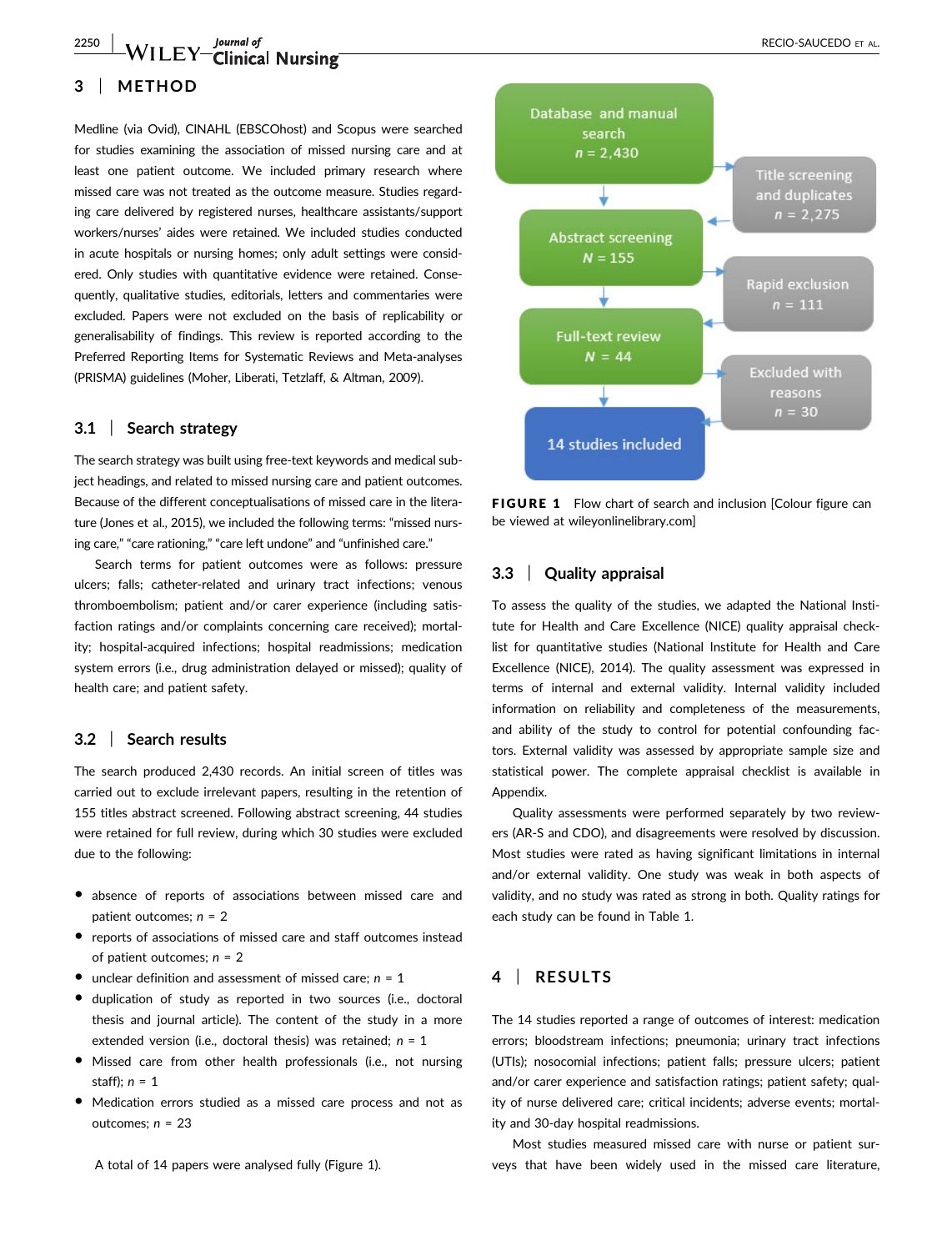2250 | WILEY Clinical Nursing **National Section 2018** RECIO-SAUCEDO ET AL.

# 3 | METHOD

Medline (via Ovid), CINAHL (EBSCOhost) and Scopus were searched for studies examining the association of missed nursing care and at least one patient outcome. We included primary research where missed care was not treated as the outcome measure. Studies regarding care delivered by registered nurses, healthcare assistants/support workers/nurses' aides were retained. We included studies conducted in acute hospitals or nursing homes; only adult settings were considered. Only studies with quantitative evidence were retained. Consequently, qualitative studies, editorials, letters and commentaries were excluded. Papers were not excluded on the basis of replicability or generalisability of findings. This review is reported according to the Preferred Reporting Items for Systematic Reviews and Meta-analyses (PRISMA) guidelines (Moher, Liberati, Tetzlaff, & Altman, 2009).

#### 3.1 | Search strategy

The search strategy was built using free-text keywords and medical subject headings, and related to missed nursing care and patient outcomes. Because of the different conceptualisations of missed care in the literature (Jones et al., 2015), we included the following terms: "missed nursing care," "care rationing," "care left undone" and "unfinished care."

Search terms for patient outcomes were as follows: pressure ulcers; falls; catheter-related and urinary tract infections; venous thromboembolism; patient and/or carer experience (including satisfaction ratings and/or complaints concerning care received); mortality; hospital-acquired infections; hospital readmissions; medication system errors (i.e., drug administration delayed or missed); quality of health care; and patient safety.

#### 3.2 | Search results

The search produced 2,430 records. An initial screen of titles was carried out to exclude irrelevant papers, resulting in the retention of 155 titles abstract screened. Following abstract screening, 44 studies were retained for full review, during which 30 studies were excluded due to the following:

- absence of reports of associations between missed care and patient outcomes;  $n = 2$
- reports of associations of missed care and staff outcomes instead of patient outcomes;  $n = 2$
- unclear definition and assessment of missed care;  $n = 1$
- duplication of study as reported in two sources (i.e., doctoral thesis and journal article). The content of the study in a more extended version (i.e., doctoral thesis) was retained;  $n = 1$
- Missed care from other health professionals (i.e., not nursing staff);  $n = 1$
- Medication errors studied as a missed care process and not as outcomes;  $n = 23$

A total of 14 papers were analysed fully (Figure 1).



FIGURE 1 Flow chart of search and inclusion [Colour figure can be viewed at wileyonlinelibrary.com]

#### 3.3 | Quality appraisal

To assess the quality of the studies, we adapted the National Institute for Health and Care Excellence (NICE) quality appraisal checklist for quantitative studies (National Institute for Health and Care Excellence (NICE), 2014). The quality assessment was expressed in terms of internal and external validity. Internal validity included information on reliability and completeness of the measurements, and ability of the study to control for potential confounding factors. External validity was assessed by appropriate sample size and statistical power. The complete appraisal checklist is available in Appendix.

Quality assessments were performed separately by two reviewers (AR-S and CDO), and disagreements were resolved by discussion. Most studies were rated as having significant limitations in internal and/or external validity. One study was weak in both aspects of validity, and no study was rated as strong in both. Quality ratings for each study can be found in Table 1.

# 4 | RESULTS

The 14 studies reported a range of outcomes of interest: medication errors; bloodstream infections; pneumonia; urinary tract infections (UTIs); nosocomial infections; patient falls; pressure ulcers; patient and/or carer experience and satisfaction ratings; patient safety; quality of nurse delivered care; critical incidents; adverse events; mortality and 30-day hospital readmissions.

Most studies measured missed care with nurse or patient surveys that have been widely used in the missed care literature,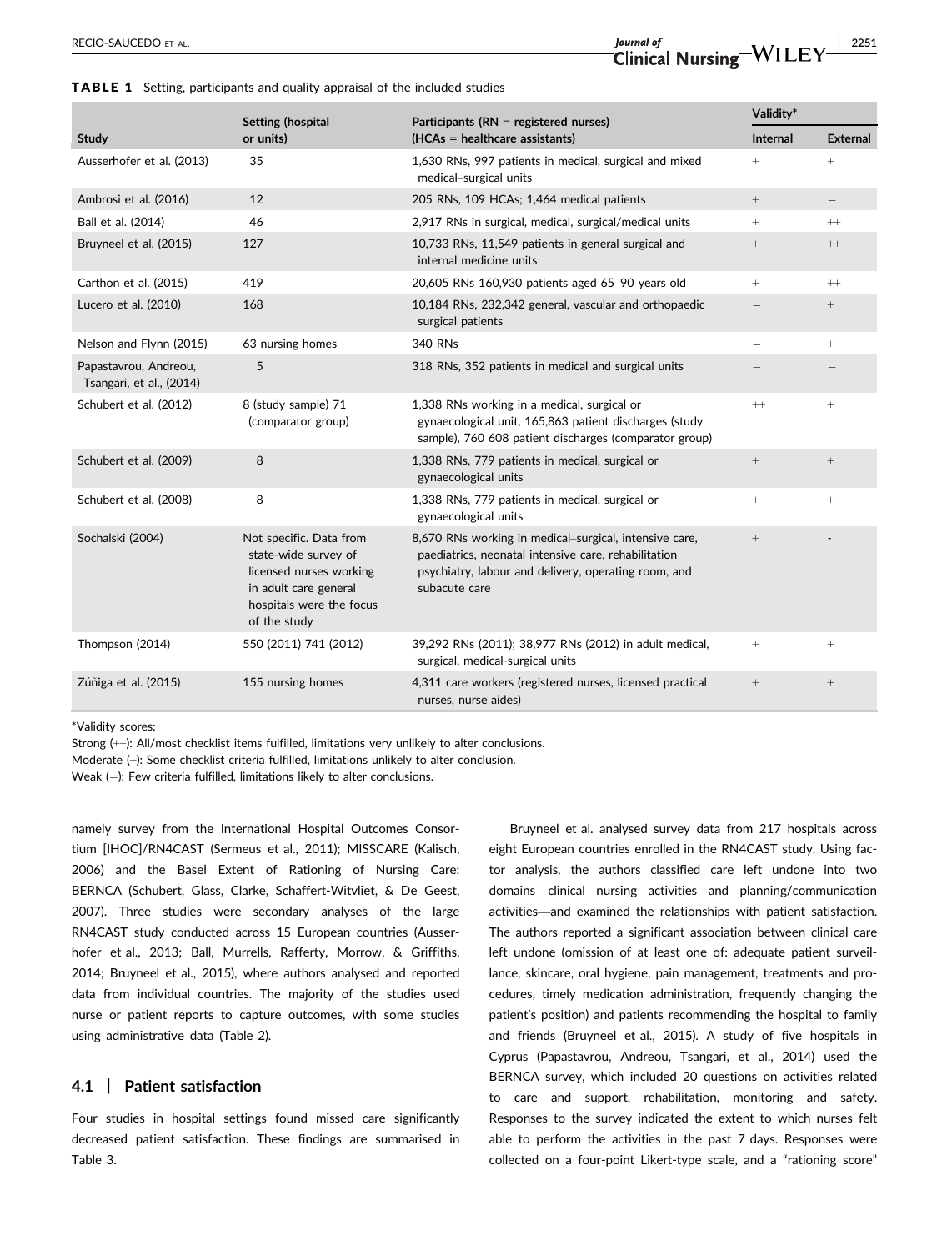|                                                   | <b>Setting (hospital</b>                                                                                                                        | Participants (RN = registered nurses)                                                                                                                                                   | Validity*       |                   |
|---------------------------------------------------|-------------------------------------------------------------------------------------------------------------------------------------------------|-----------------------------------------------------------------------------------------------------------------------------------------------------------------------------------------|-----------------|-------------------|
| <b>Study</b>                                      | or units)                                                                                                                                       | $(HCAs = healthcare assistance)$                                                                                                                                                        | <b>Internal</b> | <b>External</b>   |
| Ausserhofer et al. (2013)                         | 35                                                                                                                                              | 1,630 RNs, 997 patients in medical, surgical and mixed<br>medical-surgical units                                                                                                        | $+$             | $^{+}$            |
| Ambrosi et al. (2016)                             | 12                                                                                                                                              | 205 RNs, 109 HCAs; 1,464 medical patients                                                                                                                                               | $+$             |                   |
| Ball et al. (2014)                                | 46                                                                                                                                              | 2,917 RNs in surgical, medical, surgical/medical units                                                                                                                                  | $+$             | $^{++}$           |
| Bruyneel et al. (2015)                            | 127                                                                                                                                             | 10,733 RNs, 11,549 patients in general surgical and<br>internal medicine units                                                                                                          | $\! + \!\!\!\!$ | $\, + +$          |
| Carthon et al. (2015)                             | 419                                                                                                                                             | 20,605 RNs 160,930 patients aged 65-90 years old                                                                                                                                        | $+$             | $^{++}$           |
| Lucero et al. (2010)                              | 168                                                                                                                                             | 10,184 RNs, 232,342 general, vascular and orthopaedic<br>surgical patients                                                                                                              |                 | $\qquad \qquad +$ |
| Nelson and Flynn (2015)                           | 63 nursing homes                                                                                                                                | 340 RNs                                                                                                                                                                                 |                 | $^{+}$            |
| Papastavrou, Andreou,<br>Tsangari, et al., (2014) | 5                                                                                                                                               | 318 RNs, 352 patients in medical and surgical units                                                                                                                                     |                 |                   |
| Schubert et al. (2012)                            | 8 (study sample) 71<br>(comparator group)                                                                                                       | 1,338 RNs working in a medical, surgical or<br>gynaecological unit, 165,863 patient discharges (study<br>sample), 760 608 patient discharges (comparator group)                         | $^{++}$         | $\! + \!\!\!\!$   |
| Schubert et al. (2009)                            | 8                                                                                                                                               | 1,338 RNs, 779 patients in medical, surgical or<br>gynaecological units                                                                                                                 |                 | $\qquad \qquad +$ |
| Schubert et al. (2008)                            | 8                                                                                                                                               | 1,338 RNs, 779 patients in medical, surgical or<br>gynaecological units                                                                                                                 | $+$             | $^{+}$            |
| Sochalski (2004)                                  | Not specific. Data from<br>state-wide survey of<br>licensed nurses working<br>in adult care general<br>hospitals were the focus<br>of the study | 8,670 RNs working in medical-surgical, intensive care,<br>paediatrics, neonatal intensive care, rehabilitation<br>psychiatry, labour and delivery, operating room, and<br>subacute care | $^+$            |                   |
| Thompson (2014)                                   | 550 (2011) 741 (2012)                                                                                                                           | 39,292 RNs (2011); 38,977 RNs (2012) in adult medical,<br>surgical, medical-surgical units                                                                                              | $^{+}$          | $^{+}$            |
| Zúñiga et al. (2015)                              | 155 nursing homes                                                                                                                               | 4,311 care workers (registered nurses, licensed practical<br>nurses, nurse aides)                                                                                                       | $\! + \!\!\!\!$ | $\! + \!\!\!\!$   |

\*Validity scores:

Strong (++): All/most checklist items fulfilled, limitations very unlikely to alter conclusions.

Moderate (+): Some checklist criteria fulfilled, limitations unlikely to alter conclusion.

Weak  $(-)$ : Few criteria fulfilled, limitations likely to alter conclusions.

namely survey from the International Hospital Outcomes Consortium [IHOC]/RN4CAST (Sermeus et al., 2011); MISSCARE (Kalisch, 2006) and the Basel Extent of Rationing of Nursing Care: BERNCA (Schubert, Glass, Clarke, Schaffert-Witvliet, & De Geest, 2007). Three studies were secondary analyses of the large RN4CAST study conducted across 15 European countries (Ausserhofer et al., 2013; Ball, Murrells, Rafferty, Morrow, & Griffiths, 2014; Bruyneel et al., 2015), where authors analysed and reported data from individual countries. The majority of the studies used nurse or patient reports to capture outcomes, with some studies using administrative data (Table 2).

#### 4.1 | Patient satisfaction

Four studies in hospital settings found missed care significantly decreased patient satisfaction. These findings are summarised in Table 3.

Bruyneel et al. analysed survey data from 217 hospitals across eight European countries enrolled in the RN4CAST study. Using factor analysis, the authors classified care left undone into two domains—clinical nursing activities and planning/communication activities—and examined the relationships with patient satisfaction. The authors reported a significant association between clinical care left undone (omission of at least one of: adequate patient surveillance, skincare, oral hygiene, pain management, treatments and procedures, timely medication administration, frequently changing the patient's position) and patients recommending the hospital to family and friends (Bruyneel et al., 2015). A study of five hospitals in Cyprus (Papastavrou, Andreou, Tsangari, et al., 2014) used the BERNCA survey, which included 20 questions on activities related to care and support, rehabilitation, monitoring and safety. Responses to the survey indicated the extent to which nurses felt able to perform the activities in the past 7 days. Responses were collected on a four-point Likert-type scale, and a "rationing score"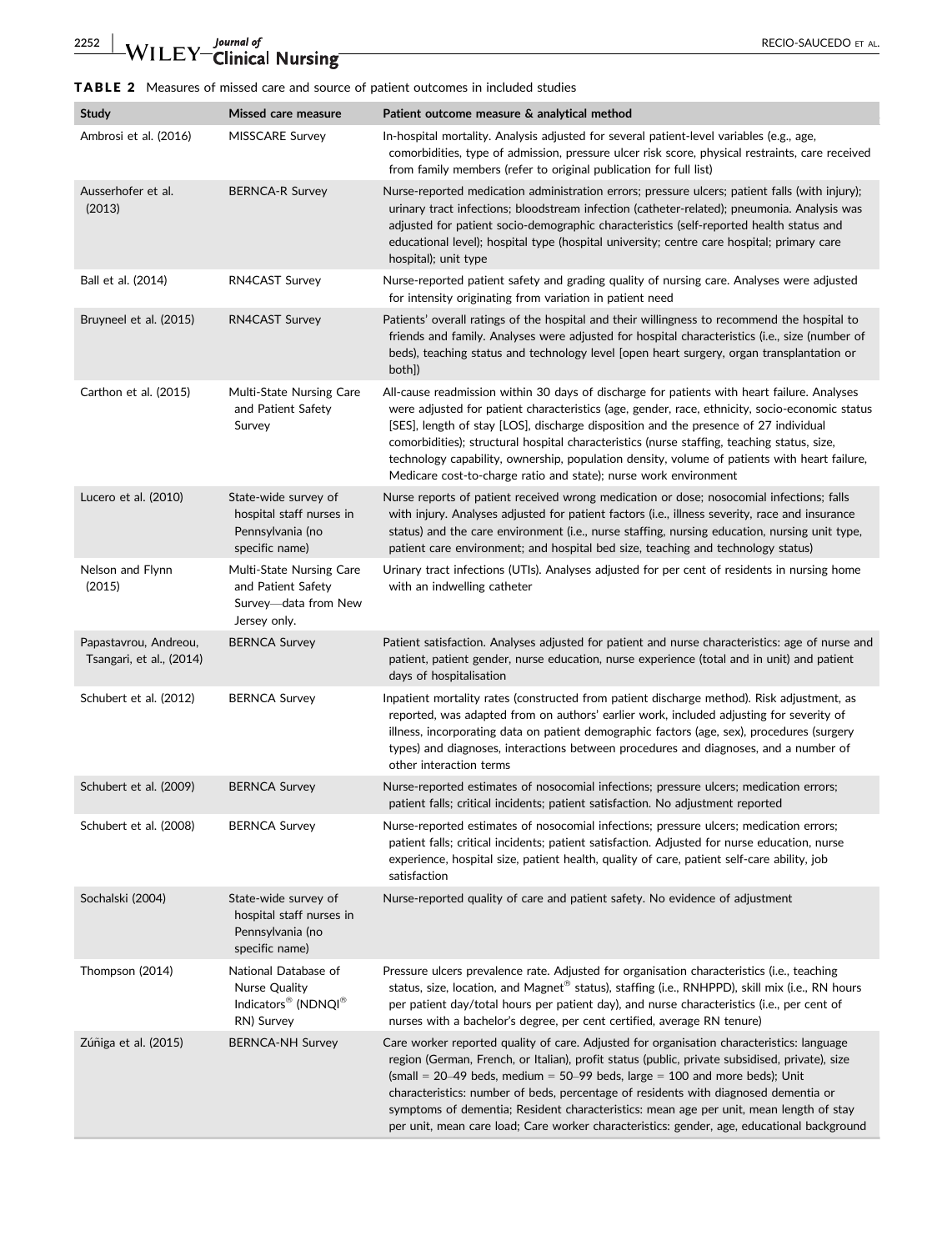# TABLE 2 Measures of missed care and source of patient outcomes in included studies

| <b>Study</b>                                      | <b>Missed care measure</b>                                                                         | Patient outcome measure & analytical method                                                                                                                                                                                                                                                                                                                                                                                                                                                                                                                  |
|---------------------------------------------------|----------------------------------------------------------------------------------------------------|--------------------------------------------------------------------------------------------------------------------------------------------------------------------------------------------------------------------------------------------------------------------------------------------------------------------------------------------------------------------------------------------------------------------------------------------------------------------------------------------------------------------------------------------------------------|
| Ambrosi et al. (2016)                             | MISSCARE Survey                                                                                    | In-hospital mortality. Analysis adjusted for several patient-level variables (e.g., age,<br>comorbidities, type of admission, pressure ulcer risk score, physical restraints, care received<br>from family members (refer to original publication for full list)                                                                                                                                                                                                                                                                                             |
| Ausserhofer et al.<br>(2013)                      | <b>BERNCA-R Survey</b>                                                                             | Nurse-reported medication administration errors; pressure ulcers; patient falls (with injury);<br>urinary tract infections; bloodstream infection (catheter-related); pneumonia. Analysis was<br>adjusted for patient socio-demographic characteristics (self-reported health status and<br>educational level); hospital type (hospital university; centre care hospital; primary care<br>hospital); unit type                                                                                                                                               |
| Ball et al. (2014)                                | RN4CAST Survey                                                                                     | Nurse-reported patient safety and grading quality of nursing care. Analyses were adjusted<br>for intensity originating from variation in patient need                                                                                                                                                                                                                                                                                                                                                                                                        |
| Bruyneel et al. (2015)                            | <b>RN4CAST Survey</b>                                                                              | Patients' overall ratings of the hospital and their willingness to recommend the hospital to<br>friends and family. Analyses were adjusted for hospital characteristics (i.e., size (number of<br>beds), teaching status and technology level [open heart surgery, organ transplantation or<br>both])                                                                                                                                                                                                                                                        |
| Carthon et al. (2015)                             | Multi-State Nursing Care<br>and Patient Safety<br>Survey                                           | All-cause readmission within 30 days of discharge for patients with heart failure. Analyses<br>were adjusted for patient characteristics (age, gender, race, ethnicity, socio-economic status<br>[SES], length of stay [LOS], discharge disposition and the presence of 27 individual<br>comorbidities); structural hospital characteristics (nurse staffing, teaching status, size,<br>technology capability, ownership, population density, volume of patients with heart failure,<br>Medicare cost-to-charge ratio and state); nurse work environment     |
| Lucero et al. (2010)                              | State-wide survey of<br>hospital staff nurses in<br>Pennsylvania (no<br>specific name)             | Nurse reports of patient received wrong medication or dose; nosocomial infections; falls<br>with injury. Analyses adjusted for patient factors (i.e., illness severity, race and insurance<br>status) and the care environment (i.e., nurse staffing, nursing education, nursing unit type,<br>patient care environment; and hospital bed size, teaching and technology status)                                                                                                                                                                              |
| Nelson and Flynn<br>(2015)                        | Multi-State Nursing Care<br>and Patient Safety<br>Survey—data from New<br>Jersey only.             | Urinary tract infections (UTIs). Analyses adjusted for per cent of residents in nursing home<br>with an indwelling catheter                                                                                                                                                                                                                                                                                                                                                                                                                                  |
| Papastavrou, Andreou,<br>Tsangari, et al., (2014) | <b>BERNCA Survey</b>                                                                               | Patient satisfaction. Analyses adjusted for patient and nurse characteristics: age of nurse and<br>patient, patient gender, nurse education, nurse experience (total and in unit) and patient<br>days of hospitalisation                                                                                                                                                                                                                                                                                                                                     |
| Schubert et al. (2012)                            | <b>BERNCA Survey</b>                                                                               | Inpatient mortality rates (constructed from patient discharge method). Risk adjustment, as<br>reported, was adapted from on authors' earlier work, included adjusting for severity of<br>illness, incorporating data on patient demographic factors (age, sex), procedures (surgery<br>types) and diagnoses, interactions between procedures and diagnoses, and a number of<br>other interaction terms                                                                                                                                                       |
| Schubert et al. (2009)                            | <b>BERNCA Survey</b>                                                                               | Nurse-reported estimates of nosocomial infections; pressure ulcers; medication errors;<br>patient falls; critical incidents; patient satisfaction. No adjustment reported                                                                                                                                                                                                                                                                                                                                                                                    |
| Schubert et al. (2008)                            | <b>BERNCA Survey</b>                                                                               | Nurse-reported estimates of nosocomial infections; pressure ulcers; medication errors;<br>patient falls; critical incidents; patient satisfaction. Adjusted for nurse education, nurse<br>experience, hospital size, patient health, quality of care, patient self-care ability, job<br>satisfaction                                                                                                                                                                                                                                                         |
| Sochalski (2004)                                  | State-wide survey of<br>hospital staff nurses in<br>Pennsylvania (no<br>specific name)             | Nurse-reported quality of care and patient safety. No evidence of adjustment                                                                                                                                                                                                                                                                                                                                                                                                                                                                                 |
| Thompson (2014)                                   | National Database of<br>Nurse Quality<br>Indicators <sup>®</sup> (NDNQI <sup>®</sup><br>RN) Survey | Pressure ulcers prevalence rate. Adjusted for organisation characteristics (i.e., teaching<br>status, size, location, and Magnet® status), staffing (i.e., RNHPPD), skill mix (i.e., RN hours<br>per patient day/total hours per patient day), and nurse characteristics (i.e., per cent of<br>nurses with a bachelor's degree, per cent certified, average RN tenure)                                                                                                                                                                                       |
| Zúñiga et al. (2015)                              | <b>BERNCA-NH Survey</b>                                                                            | Care worker reported quality of care. Adjusted for organisation characteristics: language<br>region (German, French, or Italian), profit status (public, private subsidised, private), size<br>(small = $20-49$ beds, medium = $50-99$ beds, large = 100 and more beds); Unit<br>characteristics: number of beds, percentage of residents with diagnosed dementia or<br>symptoms of dementia; Resident characteristics: mean age per unit, mean length of stay<br>per unit, mean care load; Care worker characteristics: gender, age, educational background |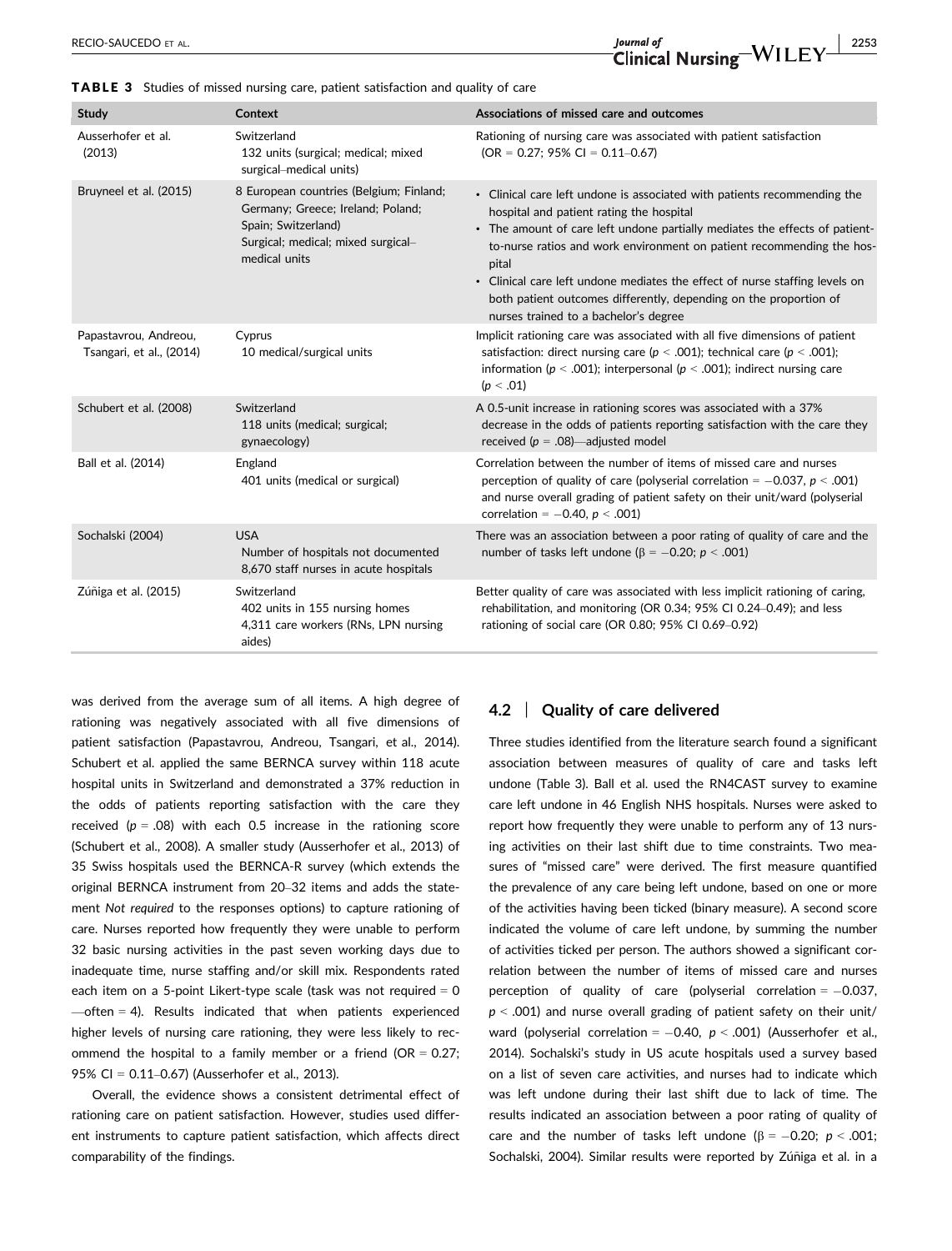RECIO-SAUCEDO ET AL.  $J_{\text{ourral of}}$ <br>  $\text{Clinical Nursino} - \text{WILEY}$   $\frac{2253}{2253}$ 

| Study                                             | Context                                                                                                                                                    | Associations of missed care and outcomes                                                                                                                                                                                                                                                                                                                                                                                                                                           |
|---------------------------------------------------|------------------------------------------------------------------------------------------------------------------------------------------------------------|------------------------------------------------------------------------------------------------------------------------------------------------------------------------------------------------------------------------------------------------------------------------------------------------------------------------------------------------------------------------------------------------------------------------------------------------------------------------------------|
| Ausserhofer et al.<br>(2013)                      | Switzerland<br>132 units (surgical; medical; mixed<br>surgical-medical units)                                                                              | Rationing of nursing care was associated with patient satisfaction<br>$(OR = 0.27; 95\% CI = 0.11-0.67)$                                                                                                                                                                                                                                                                                                                                                                           |
| Bruyneel et al. (2015)                            | 8 European countries (Belgium; Finland;<br>Germany; Greece; Ireland; Poland;<br>Spain; Switzerland)<br>Surgical; medical; mixed surgical-<br>medical units | • Clinical care left undone is associated with patients recommending the<br>hospital and patient rating the hospital<br>• The amount of care left undone partially mediates the effects of patient-<br>to-nurse ratios and work environment on patient recommending the hos-<br>pital<br>• Clinical care left undone mediates the effect of nurse staffing levels on<br>both patient outcomes differently, depending on the proportion of<br>nurses trained to a bachelor's degree |
| Papastavrou, Andreou,<br>Tsangari, et al., (2014) | Cyprus<br>10 medical/surgical units                                                                                                                        | Implicit rationing care was associated with all five dimensions of patient<br>satisfaction: direct nursing care ( $p < .001$ ); technical care ( $p < .001$ );<br>information ( $p < .001$ ); interpersonal ( $p < .001$ ); indirect nursing care<br>(p < .01)                                                                                                                                                                                                                     |
| Schubert et al. (2008)                            | Switzerland<br>118 units (medical; surgical;<br>gynaecology)                                                                                               | A 0.5-unit increase in rationing scores was associated with a 37%<br>decrease in the odds of patients reporting satisfaction with the care they<br>received ( $p = .08$ )—adjusted model                                                                                                                                                                                                                                                                                           |
| Ball et al. (2014)                                | England<br>401 units (medical or surgical)                                                                                                                 | Correlation between the number of items of missed care and nurses<br>perception of quality of care (polyserial correlation = $-0.037$ , $p < .001$ )<br>and nurse overall grading of patient safety on their unit/ward (polyserial<br>correlation = $-0.40$ , $p < .001$ )                                                                                                                                                                                                         |
| Sochalski (2004)                                  | <b>USA</b><br>Number of hospitals not documented<br>8,670 staff nurses in acute hospitals                                                                  | There was an association between a poor rating of quality of care and the<br>number of tasks left undone ( $\beta$ = -0.20; $p$ < .001)                                                                                                                                                                                                                                                                                                                                            |
| Zúñiga et al. (2015)                              | Switzerland<br>402 units in 155 nursing homes<br>4,311 care workers (RNs, LPN nursing<br>aides)                                                            | Better quality of care was associated with less implicit rationing of caring,<br>rehabilitation, and monitoring (OR 0.34; 95% CI 0.24-0.49); and less<br>rationing of social care (OR 0.80; 95% CI 0.69-0.92)                                                                                                                                                                                                                                                                      |

TABLE 3 Studies of missed nursing care, patient satisfaction and quality of care

was derived from the average sum of all items. A high degree of rationing was negatively associated with all five dimensions of patient satisfaction (Papastavrou, Andreou, Tsangari, et al., 2014). Schubert et al. applied the same BERNCA survey within 118 acute hospital units in Switzerland and demonstrated a 37% reduction in the odds of patients reporting satisfaction with the care they received ( $p = .08$ ) with each 0.5 increase in the rationing score (Schubert et al., 2008). A smaller study (Ausserhofer et al., 2013) of 35 Swiss hospitals used the BERNCA-R survey (which extends the original BERNCA instrument from 20–32 items and adds the statement Not required to the responses options) to capture rationing of care. Nurses reported how frequently they were unable to perform 32 basic nursing activities in the past seven working days due to inadequate time, nurse staffing and/or skill mix. Respondents rated each item on a 5-point Likert-type scale (task was not required  $= 0$  $\rightarrow$  often = 4). Results indicated that when patients experienced higher levels of nursing care rationing, they were less likely to recommend the hospital to a family member or a friend ( $OR = 0.27$ ; 95% CI = 0.11–0.67) (Ausserhofer et al., 2013).

Overall, the evidence shows a consistent detrimental effect of rationing care on patient satisfaction. However, studies used different instruments to capture patient satisfaction, which affects direct comparability of the findings.

#### 4.2 | Quality of care delivered

Three studies identified from the literature search found a significant association between measures of quality of care and tasks left undone (Table 3). Ball et al. used the RN4CAST survey to examine care left undone in 46 English NHS hospitals. Nurses were asked to report how frequently they were unable to perform any of 13 nursing activities on their last shift due to time constraints. Two measures of "missed care" were derived. The first measure quantified the prevalence of any care being left undone, based on one or more of the activities having been ticked (binary measure). A second score indicated the volume of care left undone, by summing the number of activities ticked per person. The authors showed a significant correlation between the number of items of missed care and nurses perception of quality of care (polyserial correlation  $= -0.037$ ,  $p < .001$ ) and nurse overall grading of patient safety on their unit/ ward (polyserial correlation =  $-0.40$ ,  $p < .001$ ) (Ausserhofer et al., 2014). Sochalski's study in US acute hospitals used a survey based on a list of seven care activities, and nurses had to indicate which was left undone during their last shift due to lack of time. The results indicated an association between a poor rating of quality of care and the number of tasks left undone ( $\beta = -0.20$ ;  $p < .001$ ; Sochalski, 2004). Similar results were reported by Zúñiga et al. in a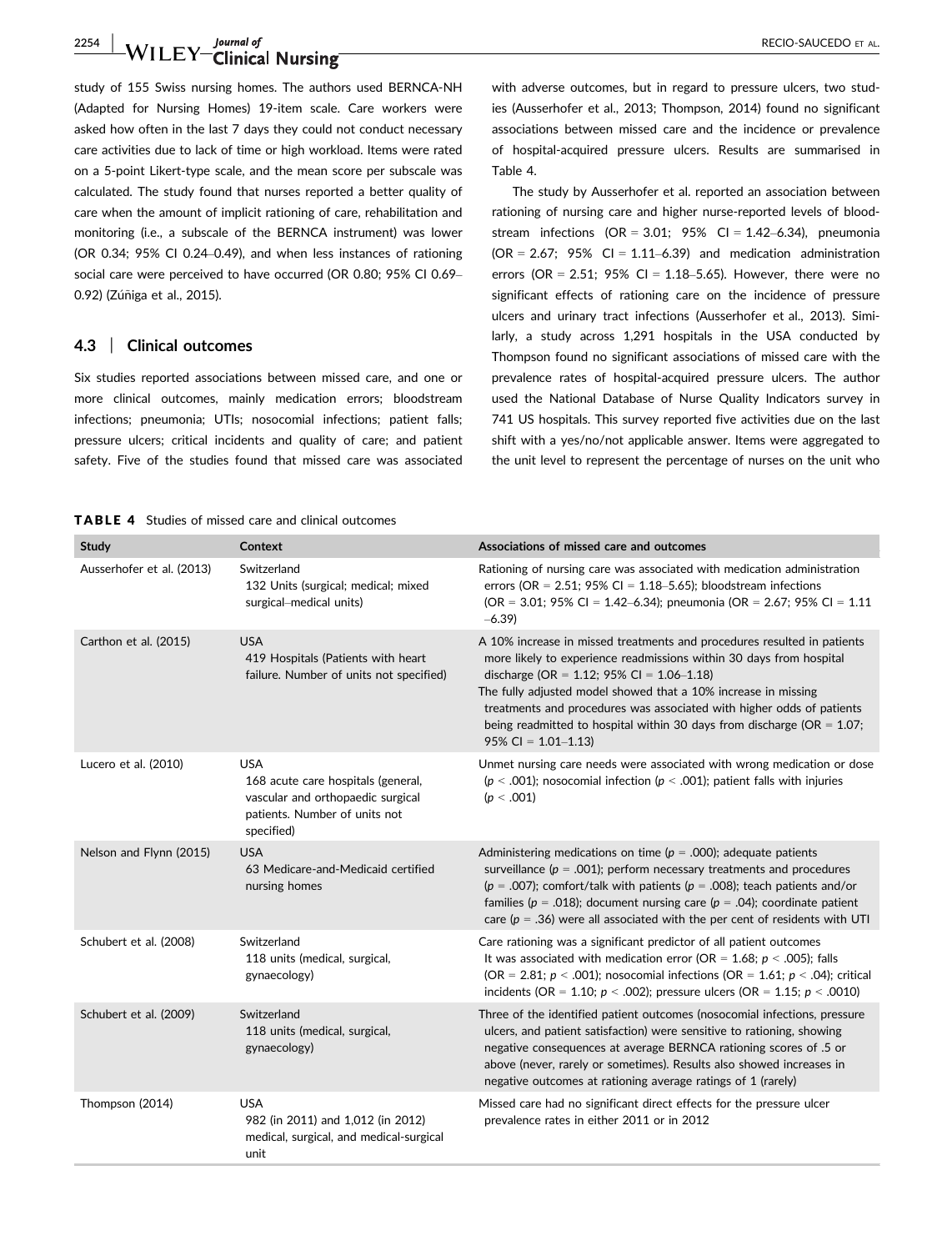2254 | WILEY Clinical Nursing **Nursing Access 2254** RECIO-SAUCEDO ET AL.

study of 155 Swiss nursing homes. The authors used BERNCA-NH (Adapted for Nursing Homes) 19-item scale. Care workers were asked how often in the last 7 days they could not conduct necessary care activities due to lack of time or high workload. Items were rated on a 5-point Likert-type scale, and the mean score per subscale was calculated. The study found that nurses reported a better quality of care when the amount of implicit rationing of care, rehabilitation and monitoring (i.e., a subscale of the BERNCA instrument) was lower (OR 0.34; 95% CI 0.24–0.49), and when less instances of rationing social care were perceived to have occurred (OR 0.80; 95% CI 0.69– 0.92) (Zúñiga et al., 2015).

#### 4.3 | Clinical outcomes

Six studies reported associations between missed care, and one or more clinical outcomes, mainly medication errors; bloodstream infections; pneumonia; UTIs; nosocomial infections; patient falls; pressure ulcers; critical incidents and quality of care; and patient safety. Five of the studies found that missed care was associated

TABLE 4 Studies of missed care and clinical outcomes

with adverse outcomes, but in regard to pressure ulcers, two studies (Ausserhofer et al., 2013; Thompson, 2014) found no significant associations between missed care and the incidence or prevalence of hospital-acquired pressure ulcers. Results are summarised in Table 4.

The study by Ausserhofer et al. reported an association between rationing of nursing care and higher nurse-reported levels of bloodstream infections (OR = 3.01; 95% CI =  $1.42-6.34$ ), pneumonia  $(OR = 2.67; 95\% \text{ CI} = 1.11-6.39)$  and medication administration errors (OR = 2.51; 95% CI = 1.18-5.65). However, there were no significant effects of rationing care on the incidence of pressure ulcers and urinary tract infections (Ausserhofer et al., 2013). Similarly, a study across 1,291 hospitals in the USA conducted by Thompson found no significant associations of missed care with the prevalence rates of hospital-acquired pressure ulcers. The author used the National Database of Nurse Quality Indicators survey in 741 US hospitals. This survey reported five activities due on the last shift with a yes/no/not applicable answer. Items were aggregated to the unit level to represent the percentage of nurses on the unit who

| Study                     | Context                                                                                                                              | Associations of missed care and outcomes                                                                                                                                                                                                                                                                                                                                                                                                             |
|---------------------------|--------------------------------------------------------------------------------------------------------------------------------------|------------------------------------------------------------------------------------------------------------------------------------------------------------------------------------------------------------------------------------------------------------------------------------------------------------------------------------------------------------------------------------------------------------------------------------------------------|
| Ausserhofer et al. (2013) | Switzerland<br>132 Units (surgical; medical; mixed<br>surgical-medical units)                                                        | Rationing of nursing care was associated with medication administration<br>errors (OR = $2.51$ ; 95% CI = $1.18-5.65$ ); bloodstream infections<br>(OR = 3.01; 95% CI = 1.42–6.34); pneumonia (OR = 2.67; 95% CI = 1.11<br>$-6.39$                                                                                                                                                                                                                   |
| Carthon et al. (2015)     | <b>USA</b><br>419 Hospitals (Patients with heart<br>failure. Number of units not specified)                                          | A 10% increase in missed treatments and procedures resulted in patients<br>more likely to experience readmissions within 30 days from hospital<br>discharge (OR = $1.12$ ; 95% CI = $1.06-1.18$ )<br>The fully adjusted model showed that a 10% increase in missing<br>treatments and procedures was associated with higher odds of patients<br>being readmitted to hospital within 30 days from discharge ( $OR = 1.07$ ;<br>$95\%$ CI = 1.01-1.13) |
| Lucero et al. (2010)      | <b>USA</b><br>168 acute care hospitals (general,<br>vascular and orthopaedic surgical<br>patients. Number of units not<br>specified) | Unmet nursing care needs were associated with wrong medication or dose<br>( $p < .001$ ); nosocomial infection ( $p < .001$ ); patient falls with injuries<br>(p < .001)                                                                                                                                                                                                                                                                             |
| Nelson and Flynn (2015)   | <b>USA</b><br>63 Medicare-and-Medicaid certified<br>nursing homes                                                                    | Administering medications on time ( $p = .000$ ); adequate patients<br>surveillance ( $p = .001$ ); perform necessary treatments and procedures<br>( $p = .007$ ); comfort/talk with patients ( $p = .008$ ); teach patients and/or<br>families ( $p = .018$ ); document nursing care ( $p = .04$ ); coordinate patient<br>care ( $p = 0.36$ ) were all associated with the per cent of residents with UTI                                           |
| Schubert et al. (2008)    | Switzerland<br>118 units (medical, surgical,<br>gynaecology)                                                                         | Care rationing was a significant predictor of all patient outcomes<br>It was associated with medication error (OR = $1.68$ ; $p < .005$ ); falls<br>(OR = 2.81; $p < .001$ ); nosocomial infections (OR = 1.61; $p < .04$ ); critical<br>incidents (OR = 1.10; $p < .002$ ); pressure ulcers (OR = 1.15; $p < .0010$ )                                                                                                                               |
| Schubert et al. (2009)    | Switzerland<br>118 units (medical, surgical,<br>gynaecology)                                                                         | Three of the identified patient outcomes (nosocomial infections, pressure<br>ulcers, and patient satisfaction) were sensitive to rationing, showing<br>negative consequences at average BERNCA rationing scores of .5 or<br>above (never, rarely or sometimes). Results also showed increases in<br>negative outcomes at rationing average ratings of 1 (rarely)                                                                                     |
| Thompson (2014)           | <b>USA</b><br>982 (in 2011) and 1,012 (in 2012)<br>medical, surgical, and medical-surgical<br>unit                                   | Missed care had no significant direct effects for the pressure ulcer<br>prevalence rates in either 2011 or in 2012                                                                                                                                                                                                                                                                                                                                   |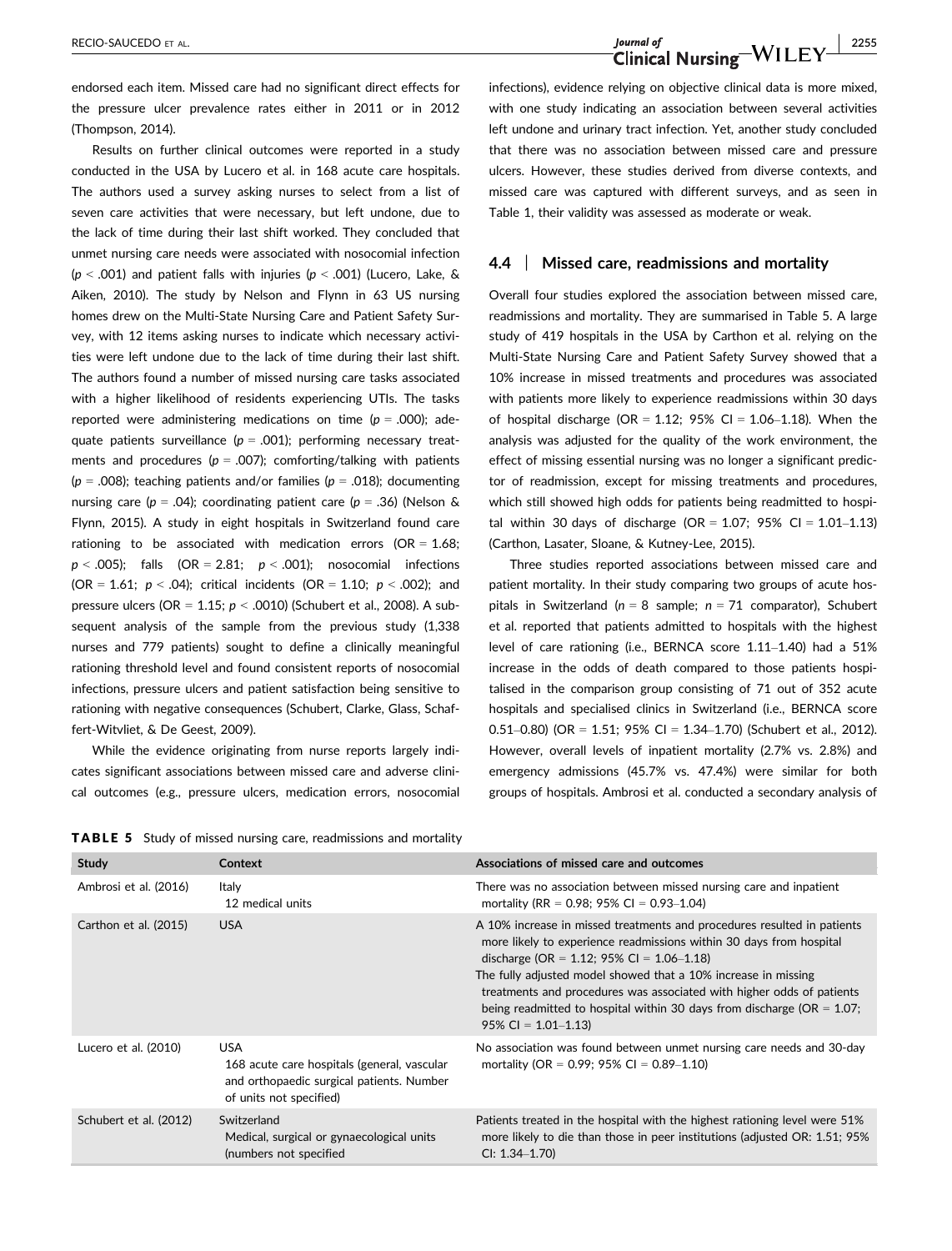endorsed each item. Missed care had no significant direct effects for the pressure ulcer prevalence rates either in 2011 or in 2012 (Thompson, 2014).

Results on further clinical outcomes were reported in a study conducted in the USA by Lucero et al. in 168 acute care hospitals. The authors used a survey asking nurses to select from a list of seven care activities that were necessary, but left undone, due to the lack of time during their last shift worked. They concluded that unmet nursing care needs were associated with nosocomial infection ( $p < .001$ ) and patient falls with injuries ( $p < .001$ ) (Lucero, Lake, & Aiken, 2010). The study by Nelson and Flynn in 63 US nursing homes drew on the Multi-State Nursing Care and Patient Safety Survey, with 12 items asking nurses to indicate which necessary activities were left undone due to the lack of time during their last shift. The authors found a number of missed nursing care tasks associated with a higher likelihood of residents experiencing UTIs. The tasks reported were administering medications on time ( $p = .000$ ); adequate patients surveillance ( $p = .001$ ); performing necessary treatments and procedures ( $p = .007$ ); comforting/talking with patients ( $p = .008$ ); teaching patients and/or families ( $p = .018$ ); documenting nursing care ( $p = .04$ ); coordinating patient care ( $p = .36$ ) (Nelson & Flynn, 2015). A study in eight hospitals in Switzerland found care rationing to be associated with medication errors ( $OR = 1.68$ ;  $p < .005$ ); falls (OR = 2.81;  $p < .001$ ); nosocomial infections (OR = 1.61;  $p < .04$ ); critical incidents (OR = 1.10;  $p < .002$ ); and pressure ulcers (OR =  $1.15$ ;  $p < .0010$ ) (Schubert et al., 2008). A subsequent analysis of the sample from the previous study (1,338) nurses and 779 patients) sought to define a clinically meaningful rationing threshold level and found consistent reports of nosocomial infections, pressure ulcers and patient satisfaction being sensitive to rationing with negative consequences (Schubert, Clarke, Glass, Schaffert-Witvliet, & De Geest, 2009).

While the evidence originating from nurse reports largely indicates significant associations between missed care and adverse clinical outcomes (e.g., pressure ulcers, medication errors, nosocomial

RECIO-SAUCEDO ET AL. Journal of Journal of Journal of Journal of Journal of Allen Clinical Nursing WILEY 2255

infections), evidence relying on objective clinical data is more mixed, with one study indicating an association between several activities left undone and urinary tract infection. Yet, another study concluded that there was no association between missed care and pressure ulcers. However, these studies derived from diverse contexts, and missed care was captured with different surveys, and as seen in Table 1, their validity was assessed as moderate or weak.

#### 4.4 | Missed care, readmissions and mortality

Overall four studies explored the association between missed care, readmissions and mortality. They are summarised in Table 5. A large study of 419 hospitals in the USA by Carthon et al. relying on the Multi-State Nursing Care and Patient Safety Survey showed that a 10% increase in missed treatments and procedures was associated with patients more likely to experience readmissions within 30 days of hospital discharge ( $OR = 1.12$ ; 95% CI = 1.06-1.18). When the analysis was adjusted for the quality of the work environment, the effect of missing essential nursing was no longer a significant predictor of readmission, except for missing treatments and procedures, which still showed high odds for patients being readmitted to hospital within 30 days of discharge (OR =  $1.07$ ; 95% CI =  $1.01-1.13$ ) (Carthon, Lasater, Sloane, & Kutney-Lee, 2015).

Three studies reported associations between missed care and patient mortality. In their study comparing two groups of acute hospitals in Switzerland ( $n = 8$  sample;  $n = 71$  comparator), Schubert et al. reported that patients admitted to hospitals with the highest level of care rationing (i.e., BERNCA score 1.11–1.40) had a 51% increase in the odds of death compared to those patients hospitalised in the comparison group consisting of 71 out of 352 acute hospitals and specialised clinics in Switzerland (i.e., BERNCA score 0.51–0.80) (OR = 1.51; 95% CI = 1.34–1.70) (Schubert et al., 2012). However, overall levels of inpatient mortality (2.7% vs. 2.8%) and emergency admissions (45.7% vs. 47.4%) were similar for both groups of hospitals. Ambrosi et al. conducted a secondary analysis of

TABLE 5 Study of missed nursing care, readmissions and mortality

| Study                  | Context                                                                                                                           | Associations of missed care and outcomes                                                                                                                                                                                                                                                                                                                                                                                                             |
|------------------------|-----------------------------------------------------------------------------------------------------------------------------------|------------------------------------------------------------------------------------------------------------------------------------------------------------------------------------------------------------------------------------------------------------------------------------------------------------------------------------------------------------------------------------------------------------------------------------------------------|
| Ambrosi et al. (2016)  | Italy<br>12 medical units                                                                                                         | There was no association between missed nursing care and inpatient<br>mortality (RR = 0.98; 95% CI = 0.93–1.04)                                                                                                                                                                                                                                                                                                                                      |
| Carthon et al. (2015)  | <b>USA</b>                                                                                                                        | A 10% increase in missed treatments and procedures resulted in patients<br>more likely to experience readmissions within 30 days from hospital<br>discharge (OR = $1.12$ ; 95% CI = $1.06-1.18$ )<br>The fully adjusted model showed that a 10% increase in missing<br>treatments and procedures was associated with higher odds of patients<br>being readmitted to hospital within 30 days from discharge ( $OR = 1.07$ ;<br>$95\%$ CI = 1.01-1.13) |
| Lucero et al. (2010)   | <b>USA</b><br>168 acute care hospitals (general, vascular<br>and orthopaedic surgical patients. Number<br>of units not specified) | No association was found between unmet nursing care needs and 30-day<br>mortality (OR = $0.99$ ; 95% CI = $0.89-1.10$ )                                                                                                                                                                                                                                                                                                                              |
| Schubert et al. (2012) | Switzerland<br>Medical, surgical or gynaecological units<br>(numbers not specified                                                | Patients treated in the hospital with the highest rationing level were 51%<br>more likely to die than those in peer institutions (adjusted OR: 1.51; 95%<br>$Cl: 1.34 - 1.70$                                                                                                                                                                                                                                                                        |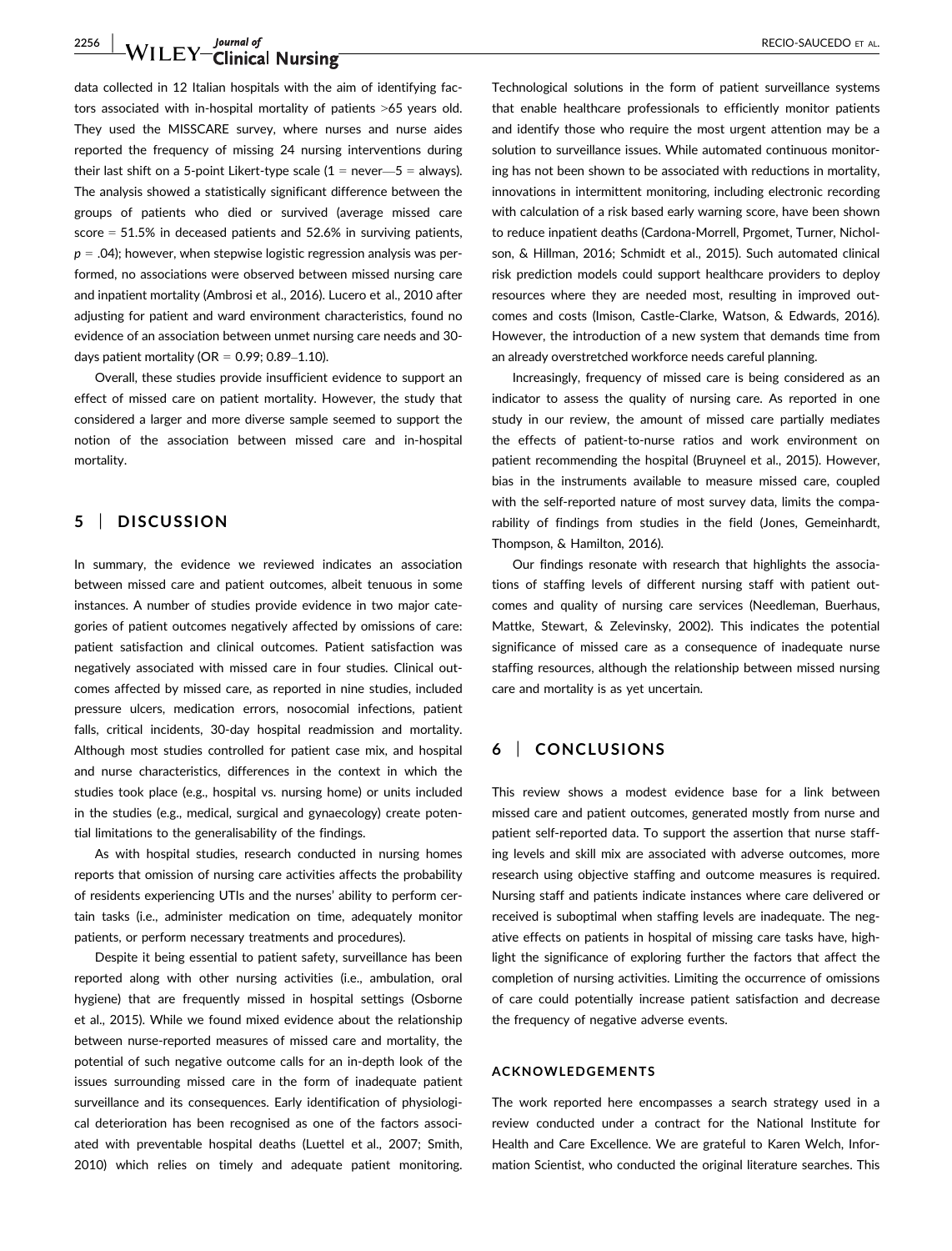# 2256 | WILEY Clinical Nursing **CONSTRUCT CONSTRUCT AL.**

data collected in 12 Italian hospitals with the aim of identifying factors associated with in-hospital mortality of patients >65 years old. They used the MISSCARE survey, where nurses and nurse aides reported the frequency of missing 24 nursing interventions during their last shift on a 5-point Likert-type scale  $(1 = never - 5 = always)$ . The analysis showed a statistically significant difference between the groups of patients who died or survived (average missed care score = 51.5% in deceased patients and 52.6% in surviving patients,  $p = .04$ ); however, when stepwise logistic regression analysis was performed, no associations were observed between missed nursing care and inpatient mortality (Ambrosi et al., 2016). Lucero et al., 2010 after adjusting for patient and ward environment characteristics, found no evidence of an association between unmet nursing care needs and 30 days patient mortality (OR =  $0.99$ ; 0.89-1.10).

Overall, these studies provide insufficient evidence to support an effect of missed care on patient mortality. However, the study that considered a larger and more diverse sample seemed to support the notion of the association between missed care and in-hospital mortality.

# 5 | DISCUSSION

In summary, the evidence we reviewed indicates an association between missed care and patient outcomes, albeit tenuous in some instances. A number of studies provide evidence in two major categories of patient outcomes negatively affected by omissions of care: patient satisfaction and clinical outcomes. Patient satisfaction was negatively associated with missed care in four studies. Clinical outcomes affected by missed care, as reported in nine studies, included pressure ulcers, medication errors, nosocomial infections, patient falls, critical incidents, 30-day hospital readmission and mortality. Although most studies controlled for patient case mix, and hospital and nurse characteristics, differences in the context in which the studies took place (e.g., hospital vs. nursing home) or units included in the studies (e.g., medical, surgical and gynaecology) create potential limitations to the generalisability of the findings.

As with hospital studies, research conducted in nursing homes reports that omission of nursing care activities affects the probability of residents experiencing UTIs and the nurses' ability to perform certain tasks (i.e., administer medication on time, adequately monitor patients, or perform necessary treatments and procedures).

Despite it being essential to patient safety, surveillance has been reported along with other nursing activities (i.e., ambulation, oral hygiene) that are frequently missed in hospital settings (Osborne et al., 2015). While we found mixed evidence about the relationship between nurse-reported measures of missed care and mortality, the potential of such negative outcome calls for an in-depth look of the issues surrounding missed care in the form of inadequate patient surveillance and its consequences. Early identification of physiological deterioration has been recognised as one of the factors associated with preventable hospital deaths (Luettel et al., 2007; Smith, 2010) which relies on timely and adequate patient monitoring.

Technological solutions in the form of patient surveillance systems that enable healthcare professionals to efficiently monitor patients and identify those who require the most urgent attention may be a solution to surveillance issues. While automated continuous monitoring has not been shown to be associated with reductions in mortality, innovations in intermittent monitoring, including electronic recording with calculation of a risk based early warning score, have been shown to reduce inpatient deaths (Cardona-Morrell, Prgomet, Turner, Nicholson, & Hillman, 2016; Schmidt et al., 2015). Such automated clinical risk prediction models could support healthcare providers to deploy resources where they are needed most, resulting in improved outcomes and costs (Imison, Castle-Clarke, Watson, & Edwards, 2016). However, the introduction of a new system that demands time from an already overstretched workforce needs careful planning.

Increasingly, frequency of missed care is being considered as an indicator to assess the quality of nursing care. As reported in one study in our review, the amount of missed care partially mediates the effects of patient-to-nurse ratios and work environment on patient recommending the hospital (Bruyneel et al., 2015). However, bias in the instruments available to measure missed care, coupled with the self-reported nature of most survey data, limits the comparability of findings from studies in the field (Jones, Gemeinhardt, Thompson, & Hamilton, 2016).

Our findings resonate with research that highlights the associations of staffing levels of different nursing staff with patient outcomes and quality of nursing care services (Needleman, Buerhaus, Mattke, Stewart, & Zelevinsky, 2002). This indicates the potential significance of missed care as a consequence of inadequate nurse staffing resources, although the relationship between missed nursing care and mortality is as yet uncertain.

# 6 | CONCLUSIONS

This review shows a modest evidence base for a link between missed care and patient outcomes, generated mostly from nurse and patient self-reported data. To support the assertion that nurse staffing levels and skill mix are associated with adverse outcomes, more research using objective staffing and outcome measures is required. Nursing staff and patients indicate instances where care delivered or received is suboptimal when staffing levels are inadequate. The negative effects on patients in hospital of missing care tasks have, highlight the significance of exploring further the factors that affect the completion of nursing activities. Limiting the occurrence of omissions of care could potentially increase patient satisfaction and decrease the frequency of negative adverse events.

#### ACKNOWLEDGEMENTS

The work reported here encompasses a search strategy used in a review conducted under a contract for the National Institute for Health and Care Excellence. We are grateful to Karen Welch, Information Scientist, who conducted the original literature searches. This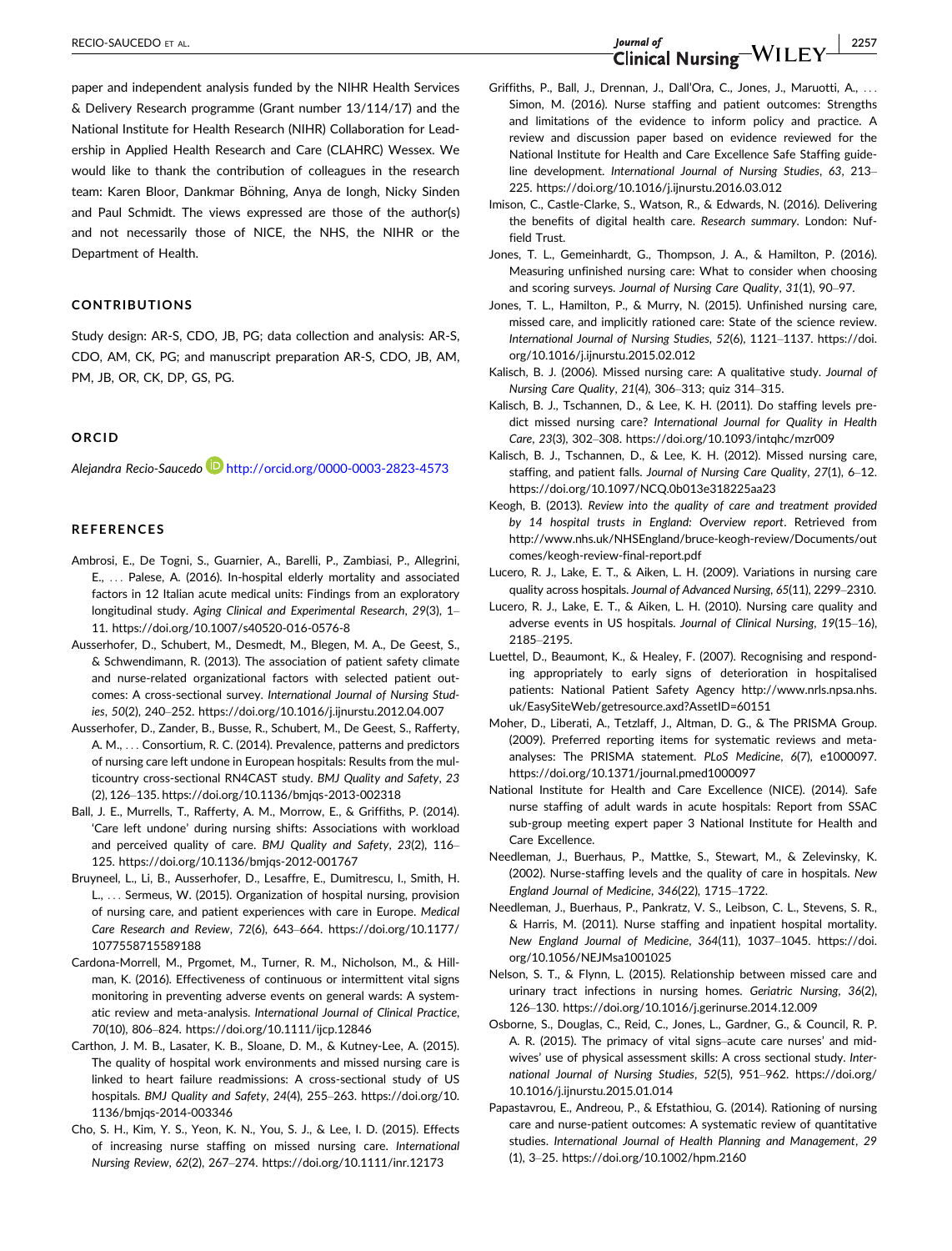paper and independent analysis funded by the NIHR Health Services & Delivery Research programme (Grant number 13/114/17) and the National Institute for Health Research (NIHR) Collaboration for Leadership in Applied Health Research and Care (CLAHRC) Wessex. We would like to thank the contribution of colleagues in the research team: Karen Bloor, Dankmar Böhning, Anya de Iongh, Nicky Sinden and Paul Schmidt. The views expressed are those of the author(s) and not necessarily those of NICE, the NHS, the NIHR or the Department of Health.

#### CONTRIBUTIONS

Study design: AR-S, CDO, JB, PG; data collection and analysis: AR-S, CDO, AM, CK, PG; and manuscript preparation AR-S, CDO, JB, AM, PM, JB, OR, CK, DP, GS, PG.

#### ORCID

Alejandra Recio-Saucedo http://orcid.org/0000-0003-2823-4573

#### REFERENCES

- Ambrosi, E., De Togni, S., Guarnier, A., Barelli, P., Zambiasi, P., Allegrini, E., ... Palese, A. (2016). In-hospital elderly mortality and associated factors in 12 Italian acute medical units: Findings from an exploratory longitudinal study. Aging Clinical and Experimental Research, 29(3), 1– 11.<https://doi.org/10.1007/s40520-016-0576-8>
- Ausserhofer, D., Schubert, M., Desmedt, M., Blegen, M. A., De Geest, S., & Schwendimann, R. (2013). The association of patient safety climate and nurse-related organizational factors with selected patient outcomes: A cross-sectional survey. International Journal of Nursing Studies, 50(2), 240–252.<https://doi.org/10.1016/j.ijnurstu.2012.04.007>
- Ausserhofer, D., Zander, B., Busse, R., Schubert, M., De Geest, S., Rafferty, A. M., ... Consortium, R. C. (2014). Prevalence, patterns and predictors of nursing care left undone in European hospitals: Results from the multicountry cross-sectional RN4CAST study. BMJ Quality and Safety, 23 (2), 126–135.<https://doi.org/10.1136/bmjqs-2013-002318>
- Ball, J. E., Murrells, T., Rafferty, A. M., Morrow, E., & Griffiths, P. (2014). 'Care left undone' during nursing shifts: Associations with workload and perceived quality of care. BMJ Quality and Safety, 23(2), 116– 125.<https://doi.org/10.1136/bmjqs-2012-001767>
- Bruyneel, L., Li, B., Ausserhofer, D., Lesaffre, E., Dumitrescu, I., Smith, H. L., ... Sermeus, W. (2015). Organization of hospital nursing, provision of nursing care, and patient experiences with care in Europe. Medical Care Research and Review, 72(6), 643–664. [https://doi.org/10.1177/](https://doi.org/10.1177/1077558715589188) [1077558715589188](https://doi.org/10.1177/1077558715589188)
- Cardona-Morrell, M., Prgomet, M., Turner, R. M., Nicholson, M., & Hillman, K. (2016). Effectiveness of continuous or intermittent vital signs monitoring in preventing adverse events on general wards: A systematic review and meta-analysis. International Journal of Clinical Practice, 70(10), 806–824.<https://doi.org/10.1111/ijcp.12846>
- Carthon, J. M. B., Lasater, K. B., Sloane, D. M., & Kutney-Lee, A. (2015). The quality of hospital work environments and missed nursing care is linked to heart failure readmissions: A cross-sectional study of US hospitals. BMJ Quality and Safety, 24(4), 255–263. [https://doi.org/10.](https://doi.org/10.1136/bmjqs-2014-003346) [1136/bmjqs-2014-003346](https://doi.org/10.1136/bmjqs-2014-003346)
- Cho, S. H., Kim, Y. S., Yeon, K. N., You, S. J., & Lee, I. D. (2015). Effects of increasing nurse staffing on missed nursing care. International Nursing Review, 62(2), 267–274.<https://doi.org/10.1111/inr.12173>
- Griffiths, P., Ball, J., Drennan, J., Dall'Ora, C., Jones, J., Maruotti, A., ... Simon, M. (2016). Nurse staffing and patient outcomes: Strengths and limitations of the evidence to inform policy and practice. A review and discussion paper based on evidence reviewed for the National Institute for Health and Care Excellence Safe Staffing guideline development. International Journal of Nursing Studies, 63, 213– 225.<https://doi.org/10.1016/j.ijnurstu.2016.03.012>
- Imison, C., Castle-Clarke, S., Watson, R., & Edwards, N. (2016). Delivering the benefits of digital health care. Research summary. London: Nuffield Trust.
- Jones, T. L., Gemeinhardt, G., Thompson, J. A., & Hamilton, P. (2016). Measuring unfinished nursing care: What to consider when choosing and scoring surveys. Journal of Nursing Care Quality, 31(1), 90–97.
- Jones, T. L., Hamilton, P., & Murry, N. (2015). Unfinished nursing care, missed care, and implicitly rationed care: State of the science review. International Journal of Nursing Studies, 52(6), 1121–1137. [https://doi.](https://doi.org/10.1016/j.ijnurstu.2015.02.012) [org/10.1016/j.ijnurstu.2015.02.012](https://doi.org/10.1016/j.ijnurstu.2015.02.012)
- Kalisch, B. J. (2006). Missed nursing care: A qualitative study. Journal of Nursing Care Quality, 21(4), 306–313; quiz 314–315.
- Kalisch, B. J., Tschannen, D., & Lee, K. H. (2011). Do staffing levels predict missed nursing care? International Journal for Quality in Health Care, 23(3), 302–308.<https://doi.org/10.1093/intqhc/mzr009>
- Kalisch, B. J., Tschannen, D., & Lee, K. H. (2012). Missed nursing care, staffing, and patient falls. Journal of Nursing Care Quality, 27(1), 6–12. <https://doi.org/10.1097/NCQ.0b013e318225aa23>
- Keogh, B. (2013). Review into the quality of care and treatment provided by 14 hospital trusts in England: Overview report. Retrieved from [http://www.nhs.uk/NHSEngland/bruce-keogh-review/Documents/out](http://www.nhs.uk/NHSEngland/bruce-keogh-review/Documents/outcomes/keogh-review-final-report.pdf) [comes/keogh-review-final-report.pdf](http://www.nhs.uk/NHSEngland/bruce-keogh-review/Documents/outcomes/keogh-review-final-report.pdf)
- Lucero, R. J., Lake, E. T., & Aiken, L. H. (2009). Variations in nursing care quality across hospitals. Journal of Advanced Nursing, 65(11), 2299–2310.
- Lucero, R. J., Lake, E. T., & Aiken, L. H. (2010). Nursing care quality and adverse events in US hospitals. Journal of Clinical Nursing, 19(15–16), 2185–2195.
- Luettel, D., Beaumont, K., & Healey, F. (2007). Recognising and responding appropriately to early signs of deterioration in hospitalised patients: National Patient Safety Agency [http://www.nrls.npsa.nhs.](http://www.nrls.npsa.nhs.uk/EasySiteWeb/getresource.axd?AssetID=60151) [uk/EasySiteWeb/getresource.axd?AssetID=60151](http://www.nrls.npsa.nhs.uk/EasySiteWeb/getresource.axd?AssetID=60151)
- Moher, D., Liberati, A., Tetzlaff, J., Altman, D. G., & The PRISMA Group. (2009). Preferred reporting items for systematic reviews and metaanalyses: The PRISMA statement. PLoS Medicine, 6(7), e1000097. <https://doi.org/10.1371/journal.pmed1000097>
- National Institute for Health and Care Excellence (NICE). (2014). Safe nurse staffing of adult wards in acute hospitals: Report from SSAC sub-group meeting expert paper 3 National Institute for Health and Care Excellence.
- Needleman, J., Buerhaus, P., Mattke, S., Stewart, M., & Zelevinsky, K. (2002). Nurse-staffing levels and the quality of care in hospitals. New England Journal of Medicine, 346(22), 1715–1722.
- Needleman, J., Buerhaus, P., Pankratz, V. S., Leibson, C. L., Stevens, S. R., & Harris, M. (2011). Nurse staffing and inpatient hospital mortality. New England Journal of Medicine, 364(11), 1037–1045. [https://doi.](https://doi.org/10.1056/NEJMsa1001025) [org/10.1056/NEJMsa1001025](https://doi.org/10.1056/NEJMsa1001025)
- Nelson, S. T., & Flynn, L. (2015). Relationship between missed care and urinary tract infections in nursing homes. Geriatric Nursing, 36(2), 126–130.<https://doi.org/10.1016/j.gerinurse.2014.12.009>
- Osborne, S., Douglas, C., Reid, C., Jones, L., Gardner, G., & Council, R. P. A. R. (2015). The primacy of vital signs–acute care nurses' and midwives' use of physical assessment skills: A cross sectional study. International Journal of Nursing Studies, 52(5), 951–962. [https://doi.org/](https://doi.org/10.1016/j.ijnurstu.2015.01.014) [10.1016/j.ijnurstu.2015.01.014](https://doi.org/10.1016/j.ijnurstu.2015.01.014)
- Papastavrou, E., Andreou, P., & Efstathiou, G. (2014). Rationing of nursing care and nurse-patient outcomes: A systematic review of quantitative studies. International Journal of Health Planning and Management, 29 (1), 3–25.<https://doi.org/10.1002/hpm.2160>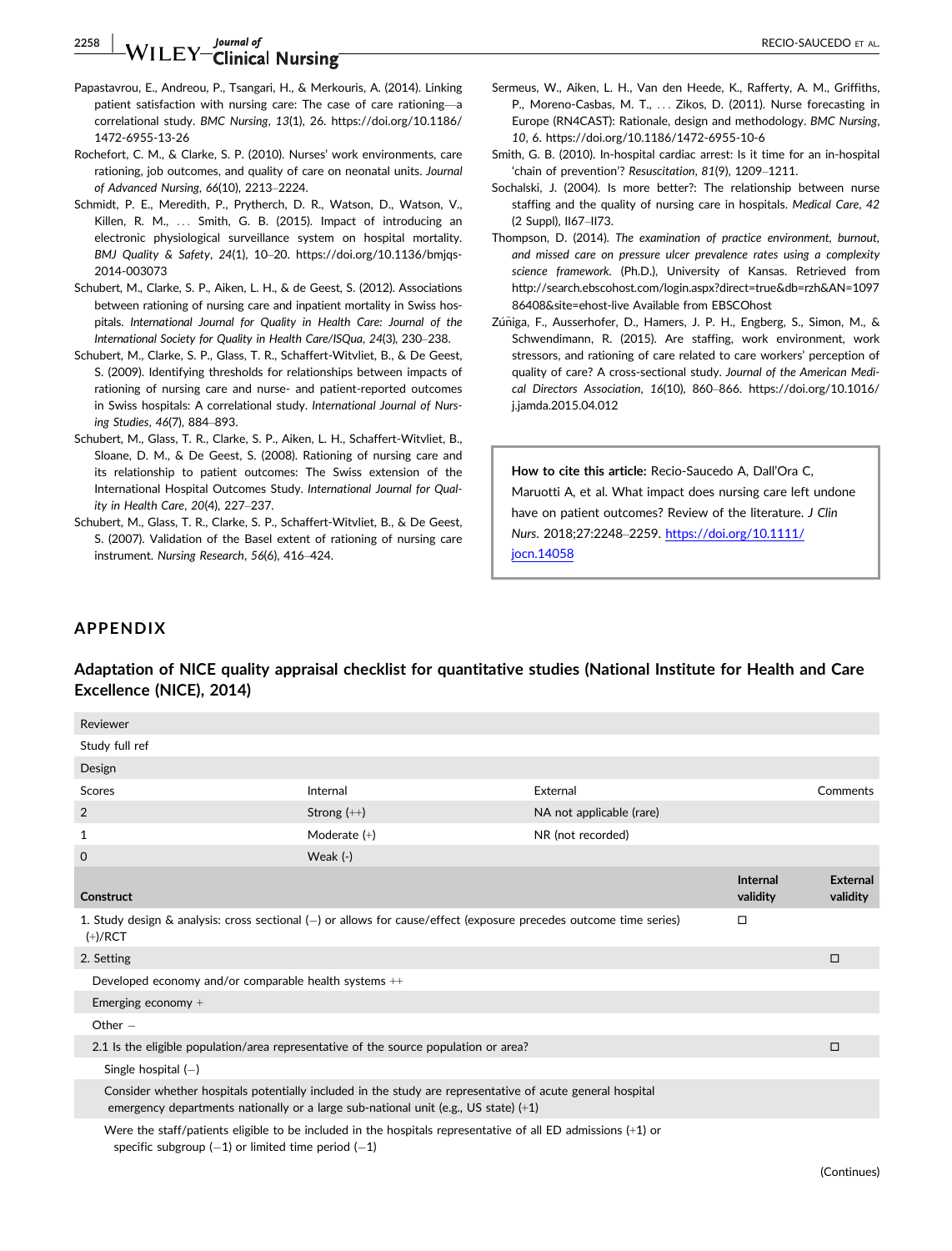# 2258 | **RECIO-SAUCEDO** ET AL. **Journal of the contract of the contract of the contract of the contract of the contract of the contract of the contract of the contract of the contract of the contract of the contract of the**

- Papastavrou, E., Andreou, P., Tsangari, H., & Merkouris, A. (2014). Linking patient satisfaction with nursing care: The case of care rationing—a correlational study. BMC Nursing, 13(1), 26. [https://doi.org/10.1186/](https://doi.org/10.1186/1472-6955-13-26) [1472-6955-13-26](https://doi.org/10.1186/1472-6955-13-26)
- Rochefort, C. M., & Clarke, S. P. (2010). Nurses' work environments, care rationing, job outcomes, and quality of care on neonatal units. Journal of Advanced Nursing, 66(10), 2213–2224.
- Schmidt, P. E., Meredith, P., Prytherch, D. R., Watson, D., Watson, V., Killen, R. M., ... Smith, G. B. (2015). Impact of introducing an electronic physiological surveillance system on hospital mortality. BMJ Quality & Safety, 24(1), 10–20. [https://doi.org/10.1136/bmjqs-](https://doi.org/10.1136/bmjqs-2014-003073)[2014-003073](https://doi.org/10.1136/bmjqs-2014-003073)
- Schubert, M., Clarke, S. P., Aiken, L. H., & de Geest, S. (2012). Associations between rationing of nursing care and inpatient mortality in Swiss hospitals. International Journal for Quality in Health Care: Journal of the International Society for Quality in Health Care/ISQua, 24(3), 230–238.
- Schubert, M., Clarke, S. P., Glass, T. R., Schaffert-Witvliet, B., & De Geest, S. (2009). Identifying thresholds for relationships between impacts of rationing of nursing care and nurse- and patient-reported outcomes in Swiss hospitals: A correlational study. International Journal of Nursing Studies, 46(7), 884–893.
- Schubert, M., Glass, T. R., Clarke, S. P., Aiken, L. H., Schaffert-Witvliet, B., Sloane, D. M., & De Geest, S. (2008). Rationing of nursing care and its relationship to patient outcomes: The Swiss extension of the International Hospital Outcomes Study. International Journal for Quality in Health Care, 20(4), 227–237.
- Schubert, M., Glass, T. R., Clarke, S. P., Schaffert-Witvliet, B., & De Geest, S. (2007). Validation of the Basel extent of rationing of nursing care instrument. Nursing Research, 56(6), 416–424.
- Sermeus, W., Aiken, L. H., Van den Heede, K., Rafferty, A. M., Griffiths, P., Moreno-Casbas, M. T., ... Zikos, D. (2011). Nurse forecasting in Europe (RN4CAST): Rationale, design and methodology. BMC Nursing, 10, 6.<https://doi.org/10.1186/1472-6955-10-6>
- Smith, G. B. (2010). In-hospital cardiac arrest: Is it time for an in-hospital 'chain of prevention'? Resuscitation, 81(9), 1209–1211.
- Sochalski, J. (2004). Is more better?: The relationship between nurse staffing and the quality of nursing care in hospitals. Medical Care, 42 (2 Suppl), II67–II73.
- Thompson, D. (2014). The examination of practice environment, burnout, and missed care on pressure ulcer prevalence rates using a complexity science framework. (Ph.D.), University of Kansas. Retrieved from [http://search.ebscohost.com/login.aspx?direct=true&db=rzh&AN=1097](http://search.ebscohost.com/login.aspx?direct=true&db=rzh&AN=109786408&site=ehost-live) [86408&site=ehost-live](http://search.ebscohost.com/login.aspx?direct=true&db=rzh&AN=109786408&site=ehost-live) Available from EBSCOhost
- Zúñiga, F., Ausserhofer, D., Hamers, J. P. H., Engberg, S., Simon, M., & Schwendimann, R. (2015). Are staffing, work environment, work stressors, and rationing of care related to care workers' perception of quality of care? A cross-sectional study. Journal of the American Medical Directors Association, 16(10), 860–866. [https://doi.org/10.1016/](https://doi.org/10.1016/j.jamda.2015.04.012) [j.jamda.2015.04.012](https://doi.org/10.1016/j.jamda.2015.04.012)

How to cite this article: Recio-Saucedo A, Dall'Ora C, Maruotti A, et al. What impact does nursing care left undone have on patient outcomes? Review of the literature. J Clin Nurs. 2018;27:2248–2259. [https://doi.org/10.1111/](https://doi.org/10.1111/jocn.14058) [jocn.14058](https://doi.org/10.1111/jocn.14058)

# APPENDIX

Adaptation of NICE quality appraisal checklist for quantitative studies (National Institute for Health and Care Excellence (NICE), 2014)

| Reviewer                                                                                                                               |                                                                                                                                                                                                    |                          |                      |                             |
|----------------------------------------------------------------------------------------------------------------------------------------|----------------------------------------------------------------------------------------------------------------------------------------------------------------------------------------------------|--------------------------|----------------------|-----------------------------|
| Study full ref                                                                                                                         |                                                                                                                                                                                                    |                          |                      |                             |
| Design                                                                                                                                 |                                                                                                                                                                                                    |                          |                      |                             |
| Scores                                                                                                                                 | Internal                                                                                                                                                                                           | External                 |                      | Comments                    |
| 2                                                                                                                                      | Strong $(++)$                                                                                                                                                                                      | NA not applicable (rare) |                      |                             |
| 1                                                                                                                                      | Moderate $(+)$                                                                                                                                                                                     | NR (not recorded)        |                      |                             |
| 0                                                                                                                                      | Weak $(-)$                                                                                                                                                                                         |                          |                      |                             |
| Construct                                                                                                                              |                                                                                                                                                                                                    |                          | Internal<br>validity | <b>External</b><br>validity |
| 1. Study design $\&$ analysis: cross sectional ( $-$ ) or allows for cause/effect (exposure precedes outcome time series)<br>$(+)/RCT$ |                                                                                                                                                                                                    |                          | $\Box$               |                             |
| 2. Setting                                                                                                                             |                                                                                                                                                                                                    |                          |                      | □                           |
| Developed economy and/or comparable health systems ++                                                                                  |                                                                                                                                                                                                    |                          |                      |                             |
| Emerging economy +                                                                                                                     |                                                                                                                                                                                                    |                          |                      |                             |
| Other $-$                                                                                                                              |                                                                                                                                                                                                    |                          |                      |                             |
| 2.1 Is the eligible population/area representative of the source population or area?                                                   |                                                                                                                                                                                                    |                          |                      | □                           |
| Single hospital $(-)$                                                                                                                  |                                                                                                                                                                                                    |                          |                      |                             |
|                                                                                                                                        | Consider whether hospitals potentially included in the study are representative of acute general hospital<br>emergency departments nationally or a large sub-national unit (e.g., US state) $(+1)$ |                          |                      |                             |
| Were the staff/patients eligible to be included in the hospitals representative of all ED admissions $(+1)$ or                         |                                                                                                                                                                                                    |                          |                      |                             |

specific subgroup  $(-1)$  or limited time period  $(-1)$